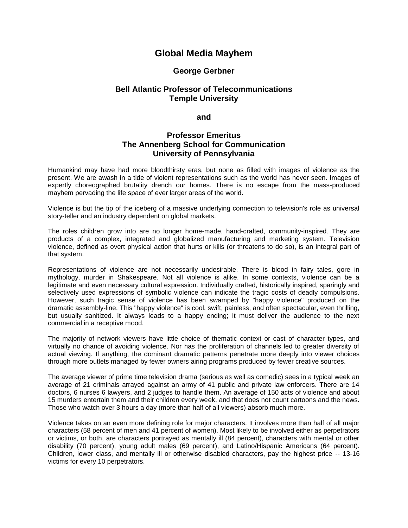# **Global Media Mayhem**

### **George Gerbner**

## **Bell Atlantic Professor of Telecommunications Temple University**

#### **and**

### **Professor Emeritus The Annenberg School for Communication University of Pennsylvania**

Humankind may have had more bloodthirsty eras, but none as filled with images of violence as the present. We are awash in a tide of violent representations such as the world has never seen. Images of expertly choreographed brutality drench our homes. There is no escape from the mass-produced mayhem pervading the life space of ever larger areas of the world.

Violence is but the tip of the iceberg of a massive underlying connection to television's role as universal story-teller and an industry dependent on global markets.

The roles children grow into are no longer home-made, hand-crafted, community-inspired. They are products of a complex, integrated and globalized manufacturing and marketing system. Television violence, defined as overt physical action that hurts or kills (or threatens to do so), is an integral part of that system.

Representations of violence are not necessarily undesirable. There is blood in fairy tales, gore in mythology, murder in Shakespeare. Not all violence is alike. In some contexts, violence can be a legitimate and even necessary cultural expression. Individually crafted, historically inspired, sparingly and selectively used expressions of symbolic violence can indicate the tragic costs of deadly compulsions. However, such tragic sense of violence has been swamped by "happy violence" produced on the dramatic assembly-line. This "happy violence" is cool, swift, painless, and often spectacular, even thrilling, but usually sanitized. It always leads to a happy ending; it must deliver the audience to the next commercial in a receptive mood.

The majority of network viewers have little choice of thematic context or cast of character types, and virtually no chance of avoiding violence. Nor has the proliferation of channels led to greater diversity of actual viewing. If anything, the dominant dramatic patterns penetrate more deeply into viewer choices through more outlets managed by fewer owners airing programs produced by fewer creative sources.

The average viewer of prime time television drama (serious as well as comedic) sees in a typical week an average of 21 criminals arrayed against an army of 41 public and private law enforcers. There are 14 doctors, 6 nurses 6 lawyers, and 2 judges to handle them. An average of 150 acts of violence and about 15 murders entertain them and their children every week, and that does not count cartoons and the news. Those who watch over 3 hours a day (more than half of all viewers) absorb much more.

Violence takes on an even more defining role for major characters. It involves more than half of all major characters (58 percent of men and 41 percent of women). Most likely to be involved either as perpetrators or victims, or both, are characters portrayed as mentally ill (84 percent), characters with mental or other disability (70 percent), young adult males (69 percent), and Latino/Hispanic Americans (64 percent). Children, lower class, and mentally ill or otherwise disabled characters, pay the highest price -- 13-16 victims for every 10 perpetrators.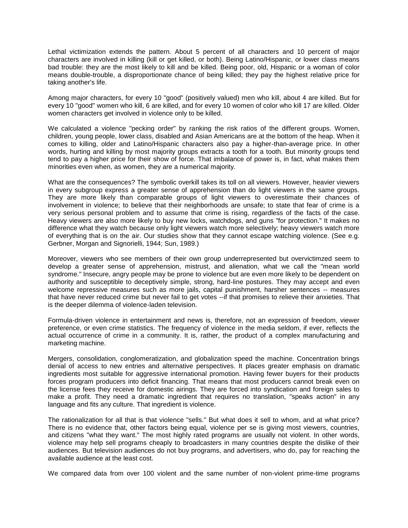Lethal victimization extends the pattern. About 5 percent of all characters and 10 percent of major characters are involved in killing (kill or get killed, or both). Being Latino/Hispanic, or lower class means bad trouble: they are the most likely to kill and be killed. Being poor, old, Hispanic or a woman of color means double-trouble, a disproportionate chance of being killed; they pay the highest relative price for taking another's life.

Among major characters, for every 10 "good" (positively valued) men who kill, about 4 are killed. But for every 10 "good" women who kill, 6 are killed, and for every 10 women of color who kill 17 are killed. Older women characters get involved in violence only to be killed.

We calculated a violence "pecking order" by ranking the risk ratios of the different groups. Women, children, young people, lower class, disabled and Asian Americans are at the bottom of the heap. When it comes to killing, older and Latino/Hispanic characters also pay a higher-than-average price. In other words, hurting and killing by most majority groups extracts a tooth for a tooth. But minority groups tend tend to pay a higher price for their show of force. That imbalance of power is, in fact, what makes them minorities even when, as women, they are a numerical majority.

What are the consequences? The symbolic overkill takes its toll on all viewers. However, heavier viewers in every subgroup express a greater sense of apprehension than do light viewers in the same groups. They are more likely than comparable groups of light viewers to overestimate their chances of involvement in violence; to believe that their neighborhoods are unsafe; to state that fear of crime is a very serious personal problem and to assume that crime is rising, regardless of the facts of the case. Heavy viewers are also more likely to buy new locks, watchdogs, and guns "for protection." It makes no difference what they watch because only light viewers watch more selectively; heavy viewers watch more of everything that is on the air. Our studies show that they cannot escape watching violence. (See e.g. Gerbner, Morgan and Signorielli, 1944; Sun, 1989.)

Moreover, viewers who see members of their own group underrepresented but overvictimzed seem to develop a greater sense of apprehension, mistrust, and alienation, what we call the "mean world syndrome." Insecure, angry people may be prone to violence but are even more likely to be dependent on authority and susceptible to deceptively simple, strong, hard-line postures. They may accept and even welcome repressive measures such as more jails, capital punishment, harsher sentences -- measures that have never reduced crime but never fail to get votes --if that promises to relieve their anxieties. That is the deeper dilemma of violence-laden television.

Formula-driven violence in entertainment and news is, therefore, not an expression of freedom, viewer preference, or even crime statistics. The frequency of violence in the media seldom, if ever, reflects the actual occurrence of crime in a community. It is, rather, the product of a complex manufacturing and marketing machine.

Mergers, consolidation, conglomeratization, and globalization speed the machine. Concentration brings denial of access to new entries and alternative perspectives. It places greater emphasis on dramatic ingredients most suitable for aggressive international promotion. Having fewer buyers for their products forces program producers into deficit financing. That means that most producers cannot break even on the license fees they receive for domestic airings. They are forced into syndication and foreign sales to make a profit. They need a dramatic ingredient that requires no translation, "speaks action" in any language and fits any culture. That ingredient is violence.

The rationalization for all that is that violence "sells." But what does it sell to whom, and at what price? There is no evidence that, other factors being equal, violence per se is giving most viewers, countries, and citizens "what they want." The most highly rated programs are usually not violent. In other words, violence may help sell programs cheaply to broadcasters in many countries despite the dislike of their audiences. But television audiences do not buy programs, and advertisers, who do, pay for reaching the available audience at the least cost.

We compared data from over 100 violent and the same number of non-violent prime-time programs